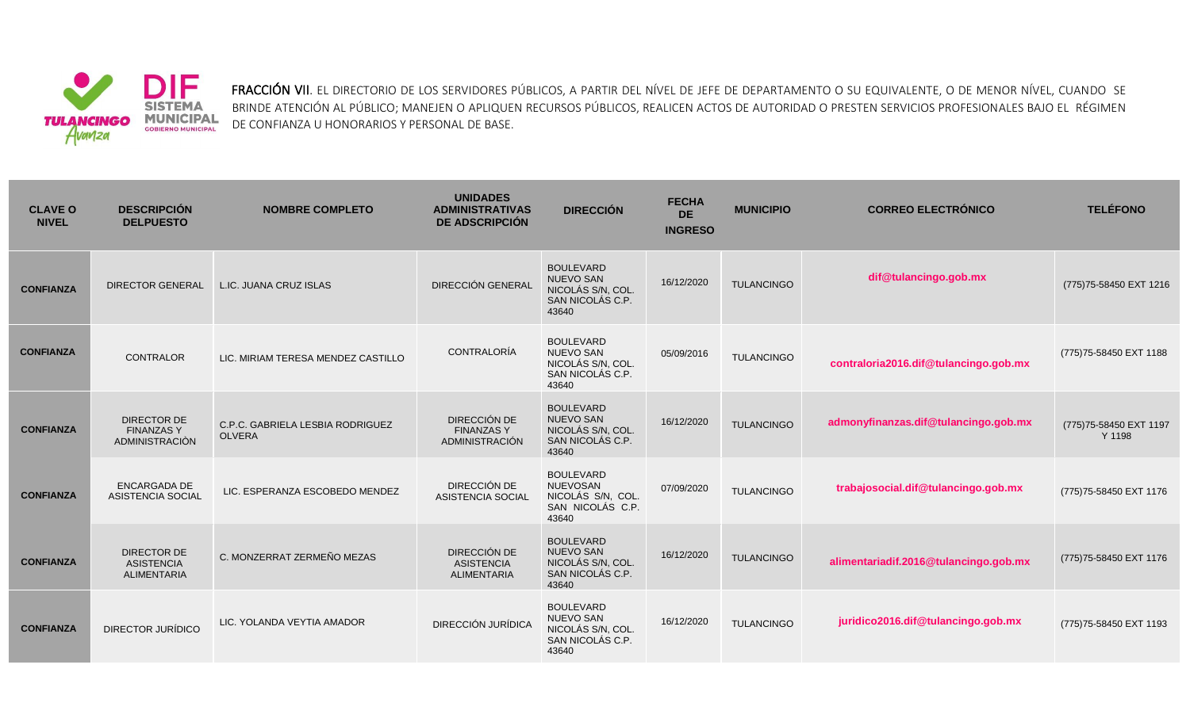

FRACCIÓN VII. EL DIRECTORIO DE LOS SERVIDORES PÚBLICOS, A PARTIR DEL NÍVEL DE JEFE DE DEPARTAMENTO O SU EQUIVALENTE, O DE MENOR NÍVEL, CUANDO SE BRINDE ATENCIÓN AL PÚBLICO; MANEJEN O APLIQUEN RECURSOS PÚBLICOS, REALICEN ACTOS DE AUTORIDAD O PRESTEN SERVICIOS PROFESIONALES BAJO EL RÉGIMEN DE CONFIANZA U HONORARIOS Y PERSONAL DE BASE.

| <b>CLAVE O</b><br><b>NIVEL</b> | <b>DESCRIPCIÓN</b><br><b>DELPUESTO</b>                        | <b>NOMBRE COMPLETO</b>                            | <b>UNIDADES</b><br><b>ADMINISTRATIVAS</b><br><b>DE ADSCRIPCIÓN</b> | <b>DIRECCIÓN</b>                                                                       | <b>FECHA</b><br><b>DE</b><br><b>INGRESO</b> | <b>MUNICIPIO</b>  | <b>CORREO ELECTRÓNICO</b>             | <b>TELÉFONO</b>                   |
|--------------------------------|---------------------------------------------------------------|---------------------------------------------------|--------------------------------------------------------------------|----------------------------------------------------------------------------------------|---------------------------------------------|-------------------|---------------------------------------|-----------------------------------|
| <b>CONFIANZA</b>               | <b>DIRECTOR GENERAL</b>                                       | L.IC. JUANA CRUZ ISLAS                            | DIRECCIÓN GENERAL                                                  | <b>BOULEVARD</b><br><b>NUEVO SAN</b><br>NICOLÁS S/N, COL.<br>SAN NICOLÁS C.P.<br>43640 | 16/12/2020                                  | <b>TULANCINGO</b> | dif@tulancingo.gob.mx                 | (775) 75-58450 EXT 1216           |
| <b>CONFIANZA</b>               | <b>CONTRALOR</b>                                              | LIC. MIRIAM TERESA MENDEZ CASTILLO                | <b>CONTRALORÍA</b>                                                 | <b>BOULEVARD</b><br><b>NUEVO SAN</b><br>NICOLÁS S/N, COL.<br>SAN NICOLÁS C.P.<br>43640 | 05/09/2016                                  | TULANCINGO        | contraloria2016.dif@tulancingo.gob.mx | (775) 75-58450 EXT 1188           |
| <b>CONFIANZA</b>               | <b>DIRECTOR DE</b><br><b>FINANZASY</b><br>ADMINISTRACIÓN      | C.P.C. GABRIELA LESBIA RODRIGUEZ<br><b>OLVERA</b> | DIRECCIÓN DE<br><b>FINANZAS Y</b><br>ADMINISTRACIÓN                | <b>BOULEVARD</b><br><b>NUEVO SAN</b><br>NICOLÁS S/N. COL.<br>SAN NICOLÁS C.P.<br>43640 | 16/12/2020                                  | <b>TULANCINGO</b> | admonyfinanzas.dif@tulancingo.gob.mx  | (775) 75-58450 EXT 1197<br>Y 1198 |
| <b>CONFIANZA</b>               | <b>ENCARGADA DE</b><br><b>ASISTENCIA SOCIAL</b>               | LIC. ESPERANZA ESCOBEDO MENDEZ                    | DIRECCIÓN DE<br><b>ASISTENCIA SOCIAL</b>                           | <b>BOULEVARD</b><br><b>NUEVOSAN</b><br>NICOLÁS S/N, COL.<br>SAN NICOLÁS C.P.<br>43640  | 07/09/2020                                  | <b>TULANCINGO</b> | trabajosocial.dif@tulancingo.gob.mx   | (775) 75-58450 EXT 1176           |
| <b>CONFIANZA</b>               | <b>DIRECTOR DE</b><br><b>ASISTENCIA</b><br><b>ALIMENTARIA</b> | C. MONZERRAT ZERMEÑO MEZAS                        | DIRECCIÓN DE<br><b>ASISTENCIA</b><br><b>ALIMENTARIA</b>            | <b>BOULEVARD</b><br><b>NUEVO SAN</b><br>NICOLÁS S/N. COL.<br>SAN NICOLÁS C.P.<br>43640 | 16/12/2020                                  | <b>TULANCINGO</b> | alimentariadif.2016@tulancingo.gob.mx | (775) 75-58450 EXT 1176           |
| <b>CONFIANZA</b>               | DIRECTOR JURÍDICO                                             | LIC. YOLANDA VEYTIA AMADOR                        | <b>DIRECCIÓN JURÍDICA</b>                                          | <b>BOULEVARD</b><br><b>NUEVO SAN</b><br>NICOLÁS S/N, COL.<br>SAN NICOLÁS C.P.<br>43640 | 16/12/2020                                  | <b>TULANCINGO</b> | juridico2016.dif@tulancingo.gob.mx    | (775) 75-58450 EXT 1193           |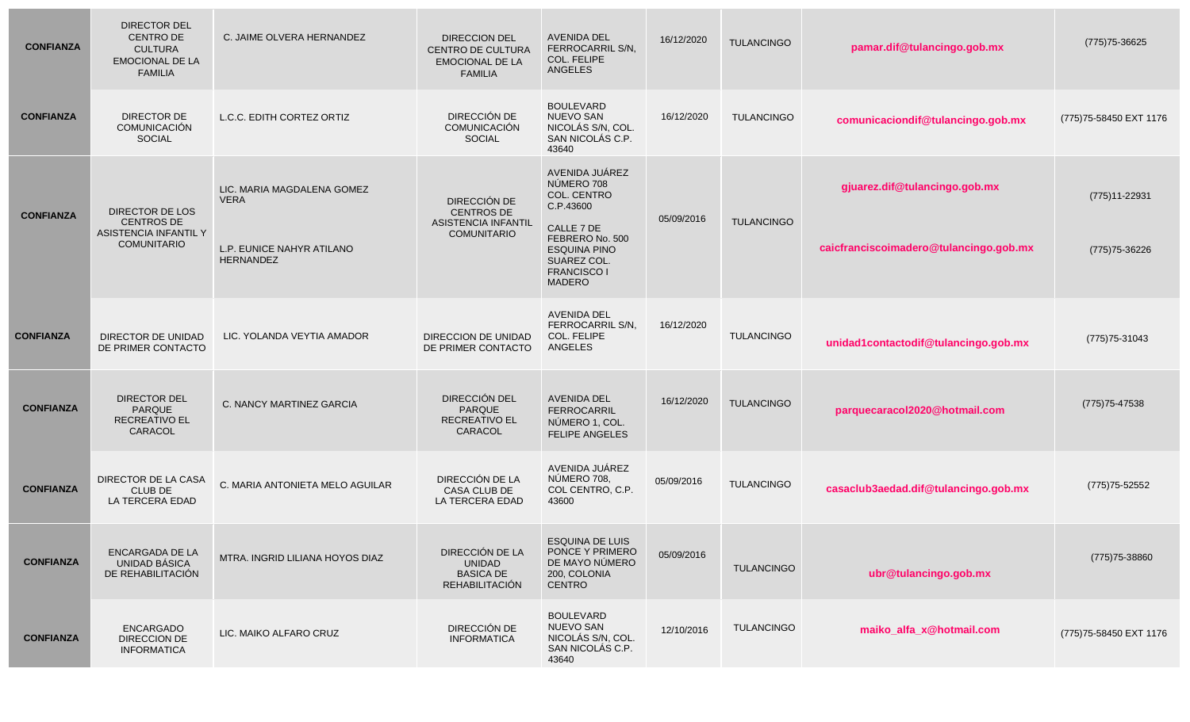| <b>CONFIANZA</b> | <b>DIRECTOR DEL</b><br><b>CENTRO DE</b><br><b>CULTURA</b><br><b>EMOCIONAL DE LA</b><br><b>FAMILIA</b> | C. JAIME OLVERA HERNANDEZ                                                                  | <b>DIRECCION DEL</b><br>CENTRO DE CULTURA<br><b>EMOCIONAL DE LA</b><br><b>FAMILIA</b> | <b>AVENIDA DEL</b><br>FERROCARRIL S/N,<br>COL. FELIPE<br>ANGELES                                                                                                       | 16/12/2020 | <b>TULANCINGO</b> | pamar.dif@tulancingo.gob.mx                                             | (775) 75-36625                      |
|------------------|-------------------------------------------------------------------------------------------------------|--------------------------------------------------------------------------------------------|---------------------------------------------------------------------------------------|------------------------------------------------------------------------------------------------------------------------------------------------------------------------|------------|-------------------|-------------------------------------------------------------------------|-------------------------------------|
| <b>CONFIANZA</b> | <b>DIRECTOR DE</b><br>COMUNICACIÓN<br><b>SOCIAL</b>                                                   | L.C.C. EDITH CORTEZ ORTIZ                                                                  | DIRECCIÓN DE<br>COMUNICACIÓN<br><b>SOCIAL</b>                                         | <b>BOULEVARD</b><br><b>NUEVO SAN</b><br>NICOLÁS S/N, COL.<br>SAN NICOLÁS C.P.<br>43640                                                                                 | 16/12/2020 | <b>TULANCINGO</b> | comunicaciondif@tulancingo.gob.mx                                       | (775) 75-58450 EXT 1176             |
| <b>CONFIANZA</b> | DIRECTOR DE LOS<br><b>CENTROS DE</b><br>ASISTENCIA INFANTIL Y<br><b>COMUNITARIO</b>                   | LIC. MARIA MAGDALENA GOMEZ<br><b>VERA</b><br>L.P. EUNICE NAHYR ATILANO<br><b>HERNANDEZ</b> | DIRECCIÓN DE<br><b>CENTROS DE</b><br><b>ASISTENCIA INFANTIL</b><br><b>COMUNITARIO</b> | AVENIDA JUÁREZ<br>NÚMERO 708<br>COL. CENTRO<br>C.P.43600<br>CALLE 7 DE<br>FEBRERO No. 500<br><b>ESQUINA PINO</b><br>SUAREZ COL.<br><b>FRANCISCO I</b><br><b>MADERO</b> | 05/09/2016 | <b>TULANCINGO</b> | gjuarez.dif@tulancingo.gob.mx<br>caicfranciscoimadero@tulancingo.gob.mx | $(775)11 - 22931$<br>(775) 75-36226 |
| <b>CONFIANZA</b> | DIRECTOR DE UNIDAD<br>DE PRIMER CONTACTO                                                              | LIC. YOLANDA VEYTIA AMADOR                                                                 | DIRECCION DE UNIDAD<br>DE PRIMER CONTACTO                                             | <b>AVENIDA DEL</b><br>FERROCARRIL S/N.<br>COL. FELIPE<br>ANGELES                                                                                                       | 16/12/2020 | <b>TULANCINGO</b> | unidad1contactodif@tulancingo.gob.mx                                    | (775) 75-31043                      |
| <b>CONFIANZA</b> | DIRECTOR DEL<br><b>PARQUE</b><br><b>RECREATIVO EL</b><br>CARACOL                                      | C. NANCY MARTINEZ GARCIA                                                                   | DIRECCIÓN DEL<br><b>PARQUE</b><br><b>RECREATIVO EL</b><br>CARACOL                     | <b>AVENIDA DEL</b><br><b>FERROCARRIL</b><br>NÚMERO 1, COL.<br><b>FELIPE ANGELES</b>                                                                                    | 16/12/2020 | <b>TULANCINGO</b> | parquecaracol2020@hotmail.com                                           | $(775)75 - 47538$                   |
| <b>CONFIANZA</b> | DIRECTOR DE LA CASA<br><b>CLUB DE</b><br>LA TERCERA EDAD                                              | C. MARIA ANTONIETA MELO AGUILAR                                                            | DIRECCIÓN DE LA<br>CASA CLUB DE<br>LA TERCERA EDAD                                    | AVENIDA JUÁREZ<br>NÚMERO 708,<br>COL CENTRO, C.P.<br>43600                                                                                                             | 05/09/2016 | <b>TULANCINGO</b> | casaclub3aedad.dif@tulancingo.gob.mx                                    | (775) 75-52552                      |
| <b>CONFIANZA</b> | ENCARGADA DE LA<br>UNIDAD BÁSICA<br>DE REHABILITACIÓN                                                 | MTRA. INGRID LILIANA HOYOS DIAZ                                                            | DIRECCIÓN DE LA<br><b>UNIDAD</b><br><b>BASICA DE</b><br>REHABILITACIÓN                | <b>ESQUINA DE LUIS</b><br>PONCE Y PRIMERO<br>DE MAYO NÚMERO<br>200, COLONIA<br><b>CENTRO</b>                                                                           | 05/09/2016 | TULANCINGO        | ubr@tulancingo.gob.mx                                                   | (775) 75-38860                      |
| <b>CONFIANZA</b> | <b>ENCARGADO</b><br>DIRECCION DE<br><b>INFORMATICA</b>                                                | LIC. MAIKO ALFARO CRUZ                                                                     | DIRECCIÓN DE<br><b>INFORMATICA</b>                                                    | <b>BOULEVARD</b><br><b>NUEVO SAN</b><br>NICOLÁS S/N, COL.<br>SAN NICOLÁS C.P.<br>43640                                                                                 | 12/10/2016 | TULANCINGO        | maiko alfa x@hotmail.com                                                | (775) 75-58450 EXT 1176             |